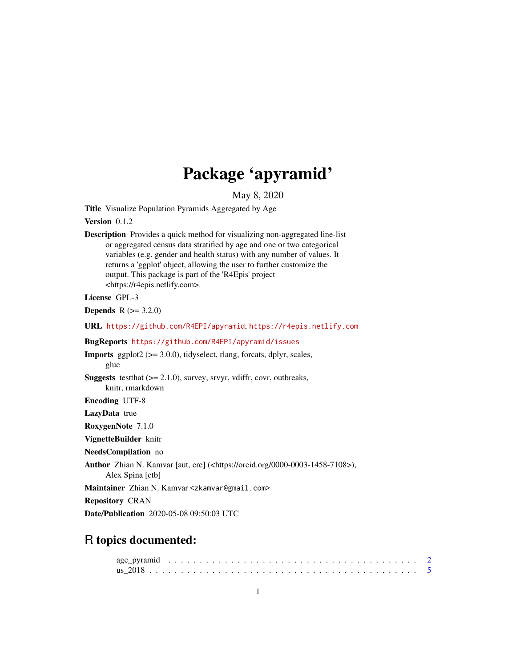## Package 'apyramid'

May 8, 2020

<span id="page-0-0"></span>Title Visualize Population Pyramids Aggregated by Age

Version 0.1.2

Description Provides a quick method for visualizing non-aggregated line-list or aggregated census data stratified by age and one or two categorical variables (e.g. gender and health status) with any number of values. It returns a 'ggplot' object, allowing the user to further customize the output. This package is part of the 'R4Epis' project <https://r4epis.netlify.com>.

#### License GPL-3

**Depends** R  $(>= 3.2.0)$ 

URL <https://github.com/R4EPI/apyramid>, <https://r4epis.netlify.com>

BugReports <https://github.com/R4EPI/apyramid/issues>

**Imports** ggplot $2$  ( $>= 3.0.0$ ), tidyselect, rlang, forcats, dplyr, scales, glue **Suggests** test that  $(>= 2.1.0)$ , survey, srvyr, vdiffr, covr, outbreaks, knitr, rmarkdown Encoding UTF-8

LazyData true

RoxygenNote 7.1.0 VignetteBuilder knitr

NeedsCompilation no

Author Zhian N. Kamvar [aut, cre] (<https://orcid.org/0000-0003-1458-7108>),

Alex Spina [ctb]

Maintainer Zhian N. Kamvar <zkamvar@gmail.com>

Repository CRAN

Date/Publication 2020-05-08 09:50:03 UTC

### R topics documented: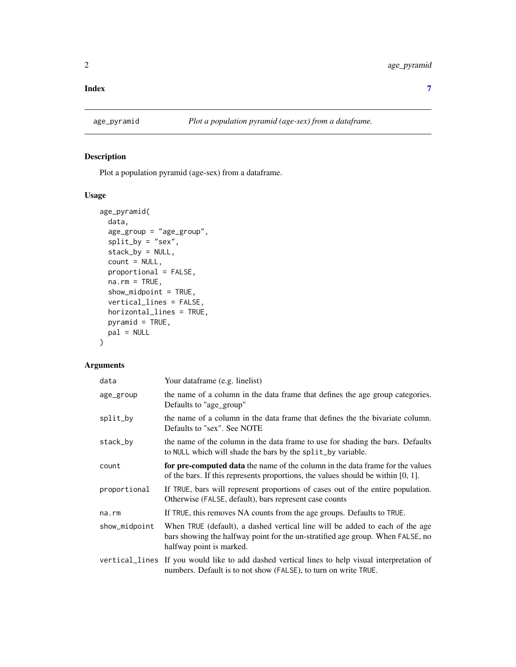#### <span id="page-1-0"></span>**Index** [7](#page-6-0) **7**

#### Description

Plot a population pyramid (age-sex) from a dataframe.

#### Usage

```
age_pyramid(
 data,
  age_group = "age_group",
 split_by = "sex",stack_by = NULL,
  count = NULL,proportional = FALSE,
 na.rm = TRUE,show_midpoint = TRUE,
  vertical_lines = FALSE,
 horizontal_lines = TRUE,
 pyramid = TRUE,
 pal = NULL
\mathcal{L}
```
#### Arguments

| data          | Your dataframe (e.g. linelist)                                                                                                                                                             |
|---------------|--------------------------------------------------------------------------------------------------------------------------------------------------------------------------------------------|
| age_group     | the name of a column in the data frame that defines the age group categories.<br>Defaults to "age_group"                                                                                   |
| split_by      | the name of a column in the data frame that defines the the bivariate column.<br>Defaults to "sex". See NOTE                                                                               |
| stack_by      | the name of the column in the data frame to use for shading the bars. Defaults<br>to NULL which will shade the bars by the split_by variable.                                              |
| count         | for pre-computed data the name of the column in the data frame for the values<br>of the bars. If this represents proportions, the values should be within $[0, 1]$ .                       |
| proportional  | If TRUE, bars will represent proportions of cases out of the entire population.<br>Otherwise (FALSE, default), bars represent case counts                                                  |
| na.rm         | If TRUE, this removes NA counts from the age groups. Defaults to TRUE.                                                                                                                     |
| show_midpoint | When TRUE (default), a dashed vertical line will be added to each of the age<br>bars showing the halfway point for the un-stratified age group. When FALSE, no<br>halfway point is marked. |
|               | vertical_lines If you would like to add dashed vertical lines to help visual interpretation of<br>numbers. Default is to not show (FALSE), to turn on write TRUE.                          |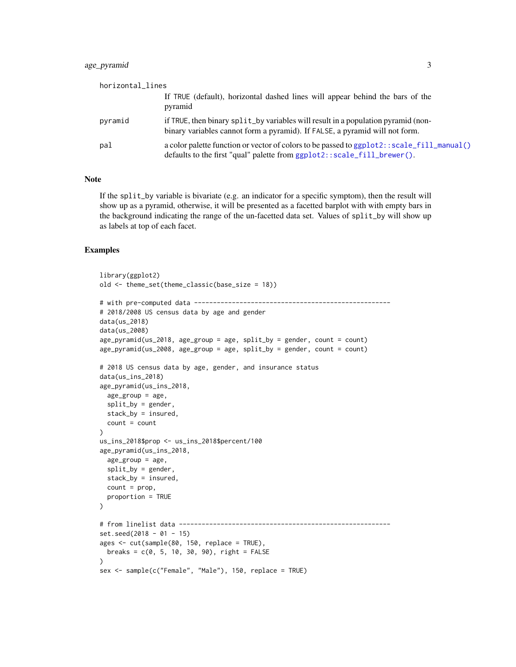#### <span id="page-2-0"></span>age\_pyramid 3

| horizontal_lines |                                                                                                                                                                                 |
|------------------|---------------------------------------------------------------------------------------------------------------------------------------------------------------------------------|
|                  | If TRUE (default), horizontal dashed lines will appear behind the bars of the<br>pyramid                                                                                        |
| pyramid          | if TRUE, then binary split_by variables will result in a population pyramid (non-<br>binary variables cannot form a pyramid). If FALSE, a pyramid will not form.                |
| pal              | a color palette function or vector of colors to be passed to ggplot2: : scale_fill_manual()<br>defaults to the first "qual" palette from $ggplot2$ : : $scale_fill\_brewer()$ . |

#### Note

If the split\_by variable is bivariate (e.g. an indicator for a specific symptom), then the result will show up as a pyramid, otherwise, it will be presented as a facetted barplot with with empty bars in the background indicating the range of the un-facetted data set. Values of split\_by will show up as labels at top of each facet.

#### Examples

```
library(ggplot2)
old <- theme_set(theme_classic(base_size = 18))
# with pre-computed data ----------------------------------------------------
# 2018/2008 US census data by age and gender
data(us_2018)
data(us_2008)
age\_pyramid(us_2018, age\_group = age, split_by = gender, count = count)
age\_pyramid(us_2008, age\_group = age, split_by = gender, count = count)# 2018 US census data by age, gender, and insurance status
data(us_ins_2018)
age_pyramid(us_ins_2018,
  age\_group = age,split_by = gender,stack_by = insured,
  count = count)
us_ins_2018$prop <- us_ins_2018$percent/100
age_pyramid(us_ins_2018,
 age\_group = age,
  split_by = gender,stack_by = insured,
  count = prop,
  proportion = TRUE
)
# from linelist data --------------------------------------------------------
set.seed(2018 - 01 - 15)
ages <- cut(sample(80, 150, replace = TRUE),
 breaks = c(0, 5, 10, 30, 90), right = FALSE
\lambdasex <- sample(c("Female", "Male"), 150, replace = TRUE)
```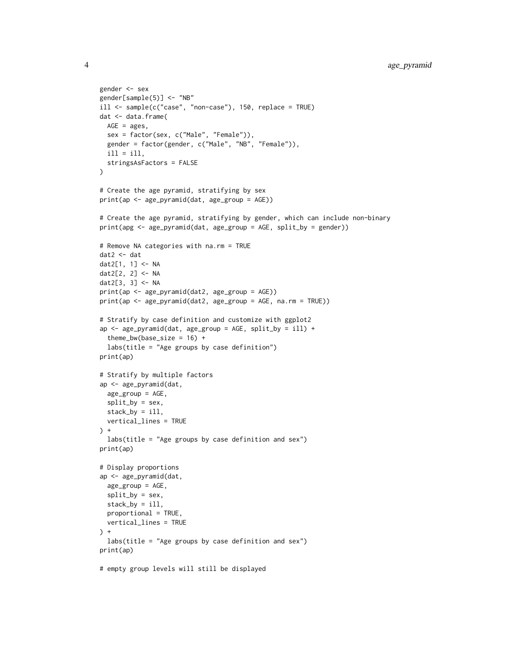```
gender <- sex
gender[sample(5)] <- "NB"
ill <- sample(c("case", "non-case"), 150, replace = TRUE)
dat <- data.frame(
 AGE = ages,
 sex = factor(sex, c("Male", "Female")),
  gender = factor(gender, c("Male", "NB", "Female")),
  i11 = i11,
  stringsAsFactors = FALSE
\lambda# Create the age pyramid, stratifying by sex
print(ap <- age_pyramid(dat, age_group = AGE))
# Create the age pyramid, stratifying by gender, which can include non-binary
print(apg <- age_pyramid(dat, age_group = AGE, split_by = gender))
# Remove NA categories with na.rm = TRUE
dat2 <- dat
dat2[1, 1] <- NA
dat2[2, 2] <- NA
dat2[3, 3] <- NA
print(ap <- age_pyramid(dat2, age_group = AGE))
print(ap <- age_pyramid(dat2, age_group = AGE, na.rm = TRUE))
# Stratify by case definition and customize with ggplot2
ap \leq age_pyramid(dat, age_group = AGE, split_by = ill) +
  theme_bw(base_size = 16) +
  labs(title = "Age groups by case definition")
print(ap)
# Stratify by multiple factors
ap <- age_pyramid(dat,
 age_group = AGE,
  split_by = sex,
 stack_by = ill,
  vertical_lines = TRUE
\rightarrowlabs(title = "Age groups by case definition and sex")
print(ap)
# Display proportions
ap <- age_pyramid(dat,
  age_group = AGE,
  split_by = sex,
  stack_by = ill,
  proportional = TRUE,
  vertical_lines = TRUE
) +labs(title = "Age groups by case definition and sex")
print(ap)
# empty group levels will still be displayed
```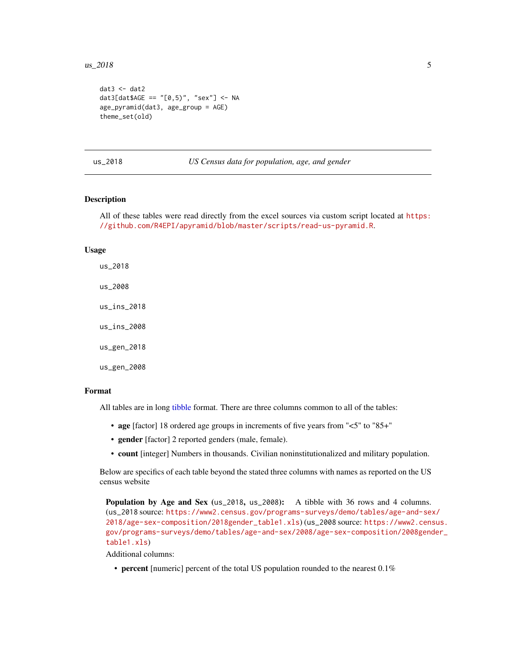#### <span id="page-4-0"></span> $\mu$ s\_2018 5

```
data < - dat2
dat3[dat$AGE == "[0,5)", "sex"] <- NA
age_pyramid(dat3, age_group = AGE)
theme_set(old)
```
us\_2018 *US Census data for population, age, and gender*

#### Description

All of these tables were read directly from the excel sources via custom script located at [https:](https://github.com/R4EPI/apyramid/blob/master/scripts/read-us-pyramid.R) [//github.com/R4EPI/apyramid/blob/master/scripts/read-us-pyramid.R](https://github.com/R4EPI/apyramid/blob/master/scripts/read-us-pyramid.R).

#### Usage

us\_2018 us\_2008 us\_ins\_2018 us\_ins\_2008 us\_gen\_2018

us\_gen\_2008

#### Format

All tables are in long [tibble](#page-0-0) format. There are three columns common to all of the tables:

- age [factor] 18 ordered age groups in increments of five years from "<5" to "85+"
- gender [factor] 2 reported genders (male, female).
- count [integer] Numbers in thousands. Civilian noninstitutionalized and military population.

Below are specifics of each table beyond the stated three columns with names as reported on the US census website

Population by Age and Sex (us\_2018, us\_2008): A tibble with 36 rows and 4 columns. (us\_2018 source: [https://www2.census.gov/programs-surveys/demo/tables/age-and-sex](https://www2.census.gov/programs-surveys/demo/tables/age-and-sex/2018/age-sex-composition/2018gender_table1.xls)/ [2018/age-sex-composition/2018gender\\_table1.xls](https://www2.census.gov/programs-surveys/demo/tables/age-and-sex/2018/age-sex-composition/2018gender_table1.xls)) (us\_2008 source: [https://www2.cens](https://www2.census.gov/programs-surveys/demo/tables/age-and-sex/2008/age-sex-composition/2008gender_table1.xls)us. [gov/programs-surveys/demo/tables/age-and-sex/2008/age-sex-composition/2008gend](https://www2.census.gov/programs-surveys/demo/tables/age-and-sex/2008/age-sex-composition/2008gender_table1.xls)er\_ [table1.xls](https://www2.census.gov/programs-surveys/demo/tables/age-and-sex/2008/age-sex-composition/2008gender_table1.xls))

Additional columns:

• percent [numeric] percent of the total US population rounded to the nearest 0.1%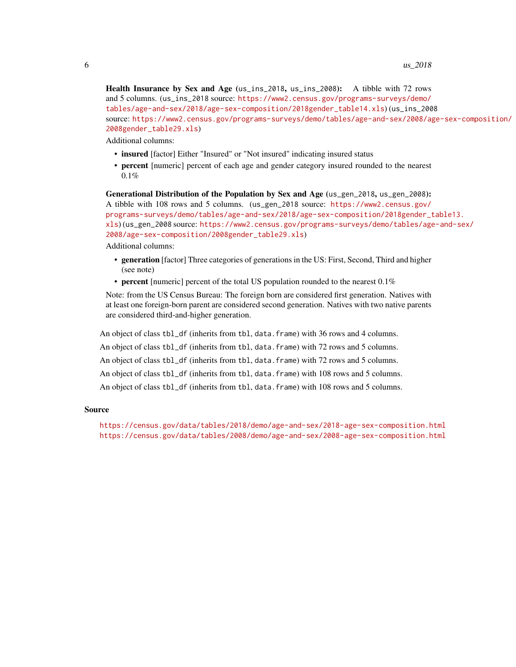Health Insurance by Sex and Age (us\_ins\_2018, us\_ins\_2008): A tibble with 72 rows and 5 columns. (us\_ins\_2018 source: [https://www2.census.gov/programs-surveys/demo/](https://www2.census.gov/programs-surveys/demo/tables/age-and-sex/2018/age-sex-composition/2018gender_table14.xls) [tables/age-and-sex/2018/age-sex-composition/2018gender\\_table14.xls](https://www2.census.gov/programs-surveys/demo/tables/age-and-sex/2018/age-sex-composition/2018gender_table14.xls)) (us\_ins\_2008 source: [https://www2.census.gov/programs-surveys/demo/tables/age-and-sex/2008/ag](https://www2.census.gov/programs-surveys/demo/tables/age-and-sex/2008/age-sex-composition/2008gender_table29.xls)e-sex-composition/ [2008gender\\_table29.xls](https://www2.census.gov/programs-surveys/demo/tables/age-and-sex/2008/age-sex-composition/2008gender_table29.xls))

Additional columns:

- insured [factor] Either "Insured" or "Not insured" indicating insured status
- percent [numeric] percent of each age and gender category insured rounded to the nearest 0.1%

Generational Distribution of the Population by Sex and Age (us\_gen\_2018, us\_gen\_2008): A tibble with 108 rows and 5 columns. (us\_gen\_2018 source: [https://www2.census.gov/](https://www2.census.gov/programs-surveys/demo/tables/age-and-sex/2018/age-sex-composition/2018gender_table13.xls) [programs-surveys/demo/tables/age-and-sex/2018/age-sex-composition/2018gender\\_t](https://www2.census.gov/programs-surveys/demo/tables/age-and-sex/2018/age-sex-composition/2018gender_table13.xls)able13. [xls](https://www2.census.gov/programs-surveys/demo/tables/age-and-sex/2018/age-sex-composition/2018gender_table13.xls)) (us\_gen\_2008 source: [https://www2.census.gov/programs-surveys/demo/tables/age](https://www2.census.gov/programs-surveys/demo/tables/age-and-sex/2008/age-sex-composition/2008gender_table29.xls)-and-sex/ [2008/age-sex-composition/2008gender\\_table29.xls](https://www2.census.gov/programs-surveys/demo/tables/age-and-sex/2008/age-sex-composition/2008gender_table29.xls)) Additional columns:

- generation [factor] Three categories of generations in the US: First, Second, Third and higher (see note)
- percent [numeric] percent of the total US population rounded to the nearest 0.1%

Note: from the US Census Bureau: The foreign born are considered first generation. Natives with at least one foreign-born parent are considered second generation. Natives with two native parents are considered third-and-higher generation.

An object of class tbl\_df (inherits from tbl, data.frame) with 36 rows and 4 columns.

An object of class tbl\_df (inherits from tbl, data.frame) with 72 rows and 5 columns.

An object of class tbl\_df (inherits from tbl, data.frame) with 72 rows and 5 columns.

An object of class tbl\_df (inherits from tbl, data.frame) with 108 rows and 5 columns.

An object of class tbl\_df (inherits from tbl, data.frame) with 108 rows and 5 columns.

#### Source

<https://census.gov/data/tables/2018/demo/age-and-sex/2018-age-sex-composition.html> <https://census.gov/data/tables/2008/demo/age-and-sex/2008-age-sex-composition.html>